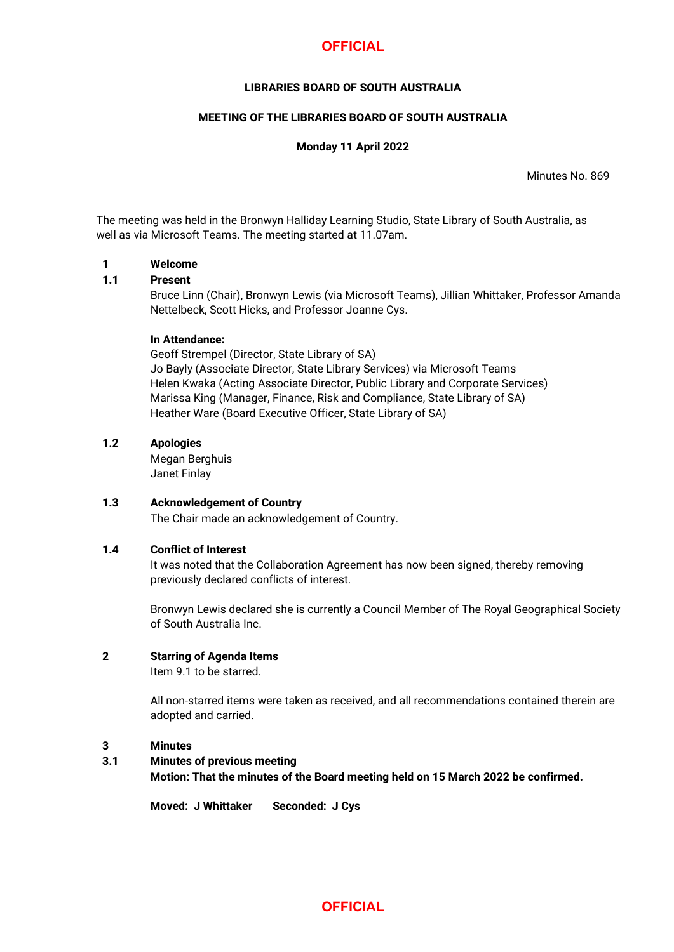# **OFFICIAL**

# **LIBRARIES BOARD OF SOUTH AUSTRALIA**

## **MEETING OF THE LIBRARIES BOARD OF SOUTH AUSTRALIA**

#### **Monday 11 April 2022**

Minutes No. 869

The meeting was held in the Bronwyn Halliday Learning Studio, State Library of South Australia, as well as via Microsoft Teams. The meeting started at 11.07am.

#### **1 Welcome**

#### **1.1 Present**

Bruce Linn (Chair), Bronwyn Lewis (via Microsoft Teams), Jillian Whittaker, Professor Amanda Nettelbeck, Scott Hicks, and Professor Joanne Cys.

#### **In Attendance:**

Geoff Strempel (Director, State Library of SA) Jo Bayly (Associate Director, State Library Services) via Microsoft Teams Helen Kwaka (Acting Associate Director, Public Library and Corporate Services) Marissa King (Manager, Finance, Risk and Compliance, State Library of SA) Heather Ware (Board Executive Officer, State Library of SA)

## **1.2 Apologies**

Megan Berghuis Janet Finlay

# **1.3 Acknowledgement of Country**

The Chair made an acknowledgement of Country.

#### **1.4 Conflict of Interest**

It was noted that the Collaboration Agreement has now been signed, thereby removing previously declared conflicts of interest.

Bronwyn Lewis declared she is currently a Council Member of The Royal Geographical Society of South Australia Inc.

# **2 Starring of Agenda Items**

Item 9.1 to be starred.

All non-starred items were taken as received, and all recommendations contained therein are adopted and carried.

#### **3 Minutes**

# **3.1 Minutes of previous meeting Motion: That the minutes of the Board meeting held on 15 March 2022 be confirmed.**

**Moved: J Whittaker Seconded: J Cys**

# **OFFICIAL**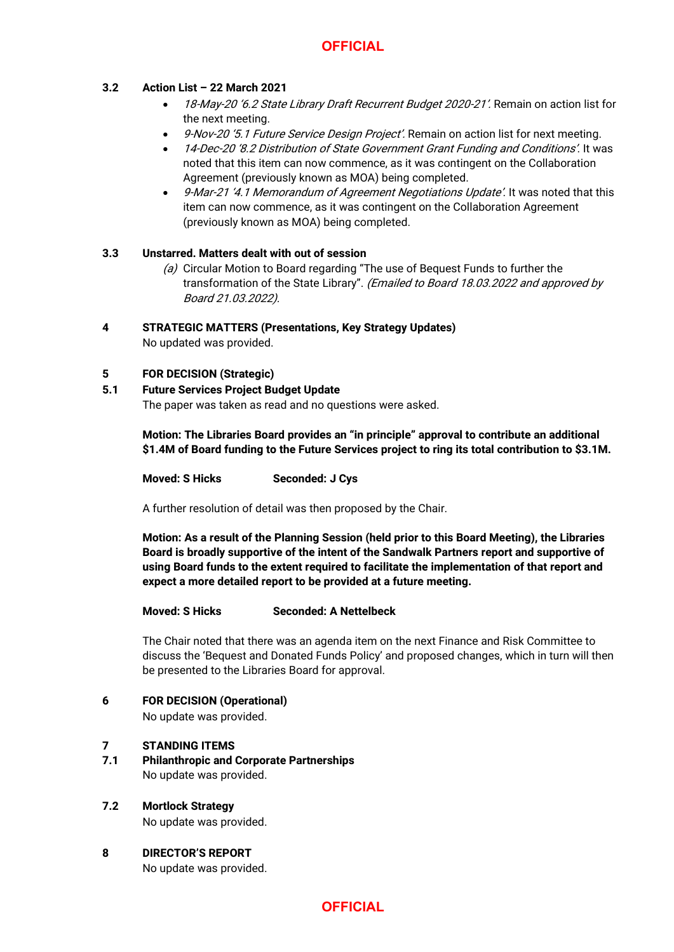# **3.2 Action List – 22 March 2021**

- 18-May-20 '6.2 State Library Draft Recurrent Budget 2020-21'. Remain on action list for the next meeting.
- 9-Nov-20 '5.1 Future Service Design Project'. Remain on action list for next meeting.
- 14-Dec-20 '8.2 Distribution of State Government Grant Funding and Conditions'. It was noted that this item can now commence, as it was contingent on the Collaboration Agreement (previously known as MOA) being completed.
- 9-Mar-21 '4.1 Memorandum of Agreement Negotiations Update'. It was noted that this item can now commence, as it was contingent on the Collaboration Agreement (previously known as MOA) being completed.

# **3.3 Unstarred. Matters dealt with out of session**

(a) Circular Motion to Board regarding "The use of Bequest Funds to further the transformation of the State Library". (Emailed to Board 18.03.2022 and approved by Board 21.03.2022).

# **4 STRATEGIC MATTERS (Presentations, Key Strategy Updates)**

No updated was provided.

# **5 FOR DECISION (Strategic)**

**5.1 Future Services Project Budget Update**

The paper was taken as read and no questions were asked.

**Motion: The Libraries Board provides an "in principle" approval to contribute an additional \$1.4M of Board funding to the Future Services project to ring its total contribution to \$3.1M.**

**Moved: S Hicks Seconded: J Cys**

A further resolution of detail was then proposed by the Chair.

**Motion: As a result of the Planning Session (held prior to this Board Meeting), the Libraries Board is broadly supportive of the intent of the Sandwalk Partners report and supportive of using Board funds to the extent required to facilitate the implementation of that report and expect a more detailed report to be provided at a future meeting.**

# **Moved: S Hicks Seconded: A Nettelbeck**

The Chair noted that there was an agenda item on the next Finance and Risk Committee to discuss the 'Bequest and Donated Funds Policy' and proposed changes, which in turn will then be presented to the Libraries Board for approval.

**6 FOR DECISION (Operational)**

No update was provided.

#### **7 STANDING ITEMS**

**7.1 Philanthropic and Corporate Partnerships** No update was provided.

# **7.2 Mortlock Strategy**

No update was provided.

**8 DIRECTOR'S REPORT** No update was provided.